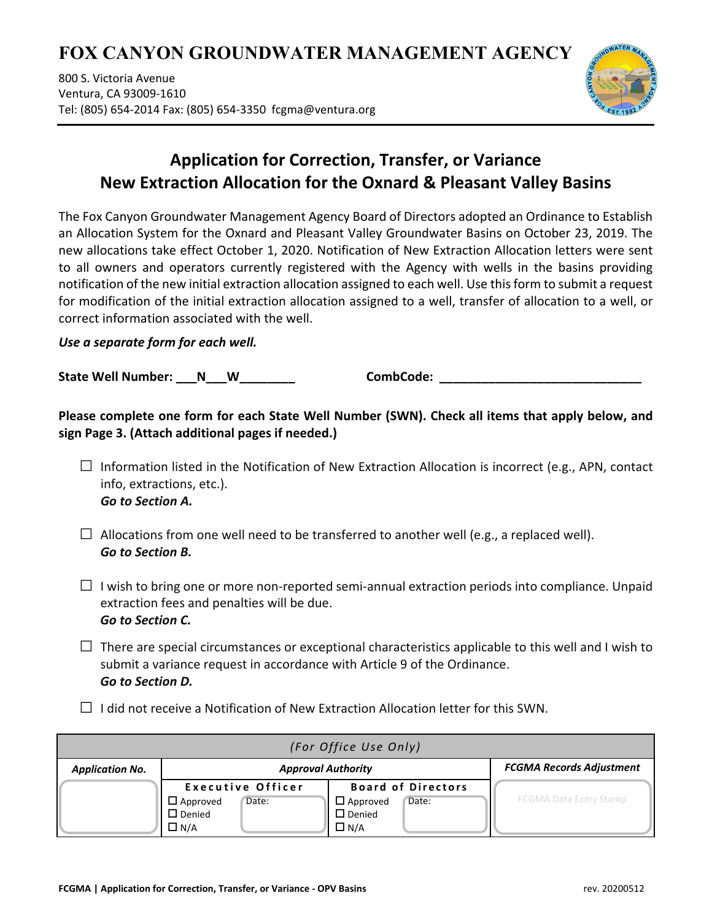# **FOX CANYON GROUNDWATER MANAGEMENT AGENCY**

800 S. Victoria Avenue Ventura, CA 93009‐1610 Tel: (805) 654‐2014 Fax: (805) 654‐3350 fcgma@ventura.org



## **Application for Correction, Transfer, or Variance New Extraction Allocation for the Oxnard & Pleasant Valley Basins**

The Fox Canyon Groundwater Management Agency Board of Directors adopted an Ordinance to Establish an Allocation System for the Oxnard and Pleasant Valley Groundwater Basins on October 23, 2019. The new allocations take effect October 1, 2020. Notification of New Extraction Allocation letters were sent to all owners and operators currently registered with the Agency with wells in the basins providing notification of the new initial extraction allocation assigned to each well. Use thisform to submit a request for modification of the initial extraction allocation assigned to a well, transfer of allocation to a well, or correct information associated with the well.

## *Use a separate form for each well.*

**State Well Number: \_\_\_N\_\_\_W\_\_\_\_\_\_\_\_ CombCode: \_\_\_\_\_\_\_\_\_\_\_\_\_\_\_\_\_\_\_\_\_\_\_\_\_\_\_\_\_** 

**Please complete one form for each State Well Number (SWN). Check all items that apply below, and sign Page 3. (Attach additional pages if needed.)**

- $\square$  Information listed in the Notification of New Extraction Allocation is incorrect (e.g., APN, contact info, extractions, etc.). *Go to Section A.*
- $\square$  Allocations from one well need to be transferred to another well (e.g., a replaced well). *Go to Section B.*
- $\Box$  I wish to bring one or more non-reported semi-annual extraction periods into compliance. Unpaid extraction fees and penalties will be due. *Go to Section C.*
- $\square$  There are special circumstances or exceptional characteristics applicable to this well and I wish to submit a variance request in accordance with Article 9 of the Ordinance. *Go to Section D.*
- $\Box$  I did not receive a Notification of New Extraction Allocation letter for this SWN.

| (For Office Use Only)  |                           |       |                           |       |                                 |  |
|------------------------|---------------------------|-------|---------------------------|-------|---------------------------------|--|
| <b>Application No.</b> | <b>Approval Authority</b> |       |                           |       | <b>FCGMA Records Adjustment</b> |  |
|                        | <b>Executive Officer</b>  |       | <b>Board of Directors</b> |       |                                 |  |
|                        | $\square$ Approved        | Date: | $\Box$ Approved           | Date: | <b>FCGMA Data Entry Stamp</b>   |  |
|                        | $\Box$ Denied             |       | $\Box$ Denied             |       |                                 |  |
|                        | $\Box$ N/A                |       | $\Box$ N/A                |       |                                 |  |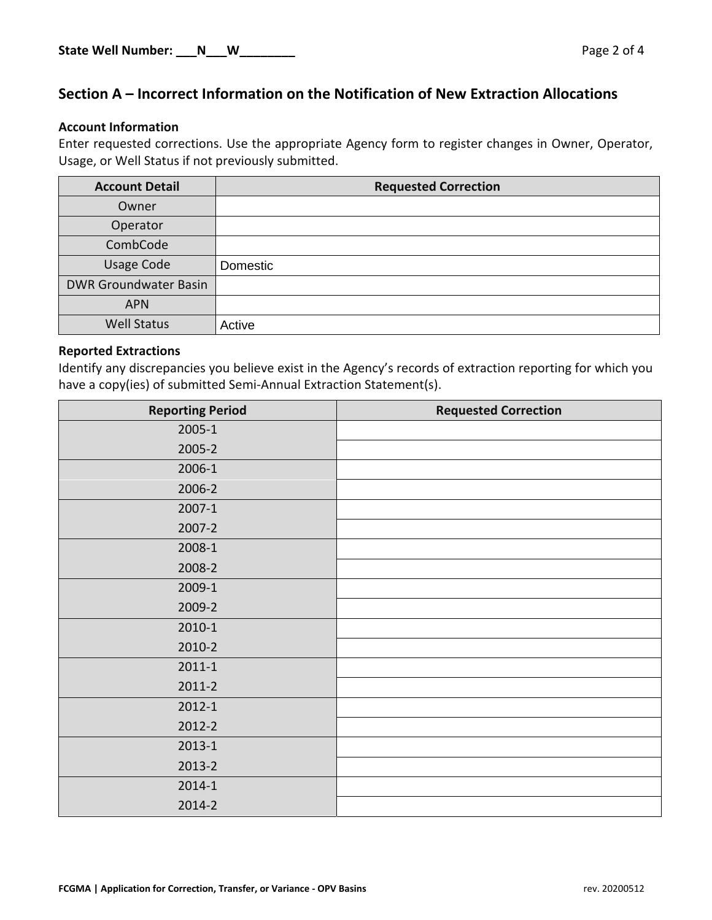## **Section A – Incorrect Information on the Notification of New Extraction Allocations**

#### **Account Information**

Enter requested corrections. Use the appropriate Agency form to register changes in Owner, Operator, Usage, or Well Status if not previously submitted.

| <b>Account Detail</b>        | <b>Requested Correction</b> |
|------------------------------|-----------------------------|
| Owner                        |                             |
| Operator                     |                             |
| CombCode                     |                             |
| <b>Usage Code</b>            | Domestic                    |
| <b>DWR Groundwater Basin</b> |                             |
| <b>APN</b>                   |                             |
| <b>Well Status</b>           | Active                      |

#### **Reported Extractions**

Identify any discrepancies you believe exist in the Agency's records of extraction reporting for which you have a copy(ies) of submitted Semi-Annual Extraction Statement(s).

| <b>Reporting Period</b> | <b>Requested Correction</b> |
|-------------------------|-----------------------------|
| 2005-1                  |                             |
| 2005-2                  |                             |
| 2006-1                  |                             |
| 2006-2                  |                             |
| $2007 - 1$              |                             |
| 2007-2                  |                             |
| 2008-1                  |                             |
| 2008-2                  |                             |
| 2009-1                  |                             |
| 2009-2                  |                             |
| 2010-1                  |                             |
| 2010-2                  |                             |
| $2011 - 1$              |                             |
| $2011 - 2$              |                             |
| $2012 - 1$              |                             |
| 2012-2                  |                             |
| $2013 - 1$              |                             |
| 2013-2                  |                             |
| $2014 - 1$              |                             |
| 2014-2                  |                             |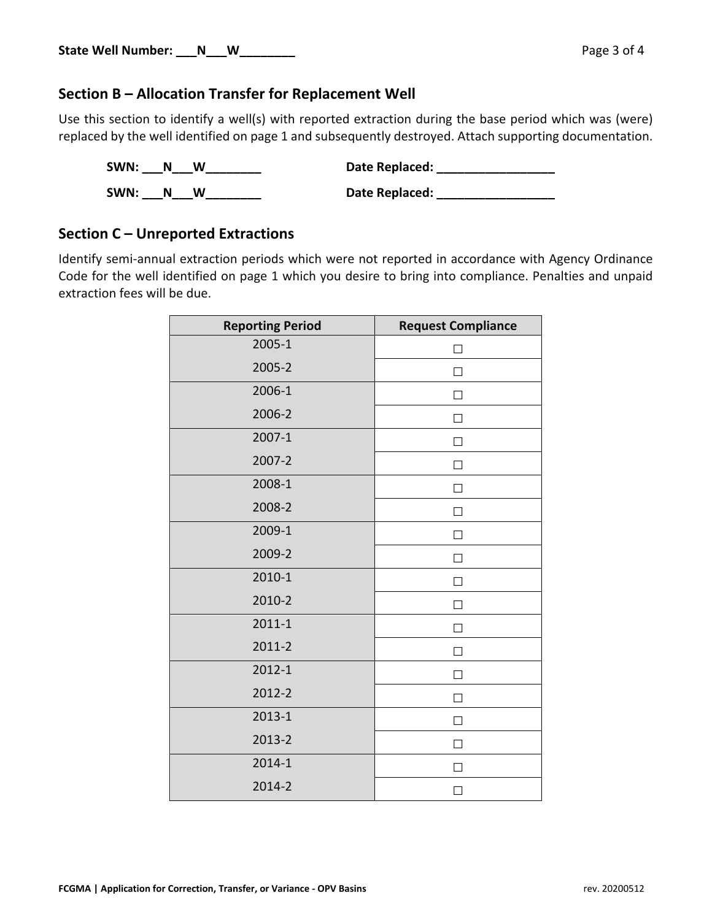## **Section B – Allocation Transfer for Replacement Well**

Use this section to identify a well(s) with reported extraction during the base period which was (were) replaced by the well identified on page 1 and subsequently destroyed. Attach supporting documentation.

| SWN: | N | w | Date Replaced: |
|------|---|---|----------------|
| SWN: | N | W | Date Replaced: |

## **Section C – Unreported Extractions**

Identify semi-annual extraction periods which were not reported in accordance with Agency Ordinance Code for the well identified on page 1 which you desire to bring into compliance. Penalties and unpaid extraction fees will be due.

| <b>Reporting Period</b> | <b>Request Compliance</b> |
|-------------------------|---------------------------|
| 2005-1                  | П                         |
| 2005-2                  | П                         |
| 2006-1                  | П                         |
| 2006-2                  | П                         |
| 2007-1                  | П                         |
| 2007-2                  | $\mathsf{L}$              |
| 2008-1                  | П                         |
| 2008-2                  | $\Box$                    |
| 2009-1                  | $\Box$                    |
| 2009-2                  | П                         |
| 2010-1                  |                           |
| 2010-2                  | П                         |
| $2011 - 1$              | П                         |
| 2011-2                  | П                         |
| 2012-1                  | П                         |
| 2012-2                  | ΙI                        |
| 2013-1                  | П                         |
| 2013-2                  | П                         |
| 2014-1                  | П                         |
| 2014-2                  | $\vert \ \ \vert$         |